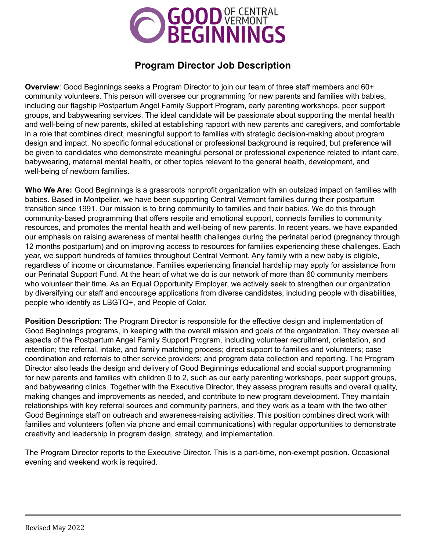

# **Program Director Job Description**

**Overview**: Good Beginnings seeks a Program Director to join our team of three staff members and 60+ community volunteers. This person will oversee our programming for new parents and families with babies, including our flagship Postpartum Angel Family Support Program, early parenting workshops, peer support groups, and babywearing services. The ideal candidate will be passionate about supporting the mental health and well-being of new parents, skilled at establishing rapport with new parents and caregivers, and comfortable in a role that combines direct, meaningful support to families with strategic decision-making about program design and impact. No specific formal educational or professional background is required, but preference will be given to candidates who demonstrate meaningful personal or professional experience related to infant care, babywearing, maternal mental health, or other topics relevant to the general health, development, and well-being of newborn families.

**Who We Are:** Good Beginnings is a grassroots nonprofit organization with an outsized impact on families with babies. Based in Montpelier, we have been supporting Central Vermont families during their postpartum transition since 1991. Our mission is to bring community to families and their babies. We do this through community-based programming that offers respite and emotional support, connects families to community resources, and promotes the mental health and well-being of new parents. In recent years, we have expanded our emphasis on raising awareness of mental health challenges during the perinatal period (pregnancy through 12 months postpartum) and on improving access to resources for families experiencing these challenges. Each year, we support hundreds of families throughout Central Vermont. Any family with a new baby is eligible, regardless of income or circumstance. Families experiencing financial hardship may apply for assistance from our Perinatal Support Fund. At the heart of what we do is our network of more than 60 community members who volunteer their time. As an Equal Opportunity Employer, we actively seek to strengthen our organization by diversifying our staff and encourage applications from diverse candidates, including people with disabilities, people who identify as LBGTQ+, and People of Color.

**Position Description:** The Program Director is responsible for the effective design and implementation of Good Beginnings programs, in keeping with the overall mission and goals of the organization. They oversee all aspects of the Postpartum Angel Family Support Program, including volunteer recruitment, orientation, and retention; the referral, intake, and family matching process; direct support to families and volunteers; case coordination and referrals to other service providers; and program data collection and reporting. The Program Director also leads the design and delivery of Good Beginnings educational and social support programming for new parents and families with children 0 to 2, such as our early parenting workshops, peer support groups, and babywearing clinics. Together with the Executive Director, they assess program results and overall quality, making changes and improvements as needed, and contribute to new program development. They maintain relationships with key referral sources and community partners, and they work as a team with the two other Good Beginnings staff on outreach and awareness-raising activities. This position combines direct work with families and volunteers (often via phone and email communications) with regular opportunities to demonstrate creativity and leadership in program design, strategy, and implementation.

The Program Director reports to the Executive Director. This is a part-time, non-exempt position. Occasional evening and weekend work is required.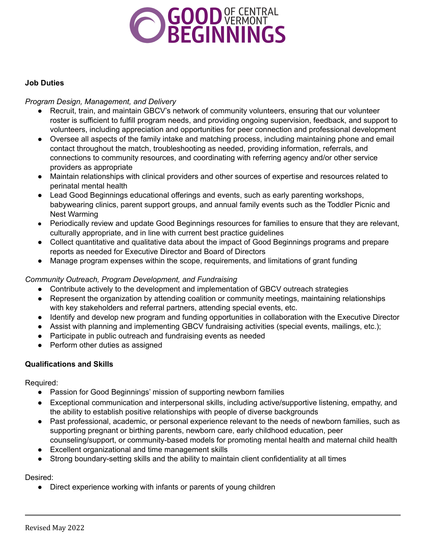

#### **Job Duties**

### *Program Design, Management, and Delivery*

- Recruit, train, and maintain GBCV's network of community volunteers, ensuring that our volunteer roster is sufficient to fulfill program needs, and providing ongoing supervision, feedback, and support to volunteers, including appreciation and opportunities for peer connection and professional development
- Oversee all aspects of the family intake and matching process, including maintaining phone and email contact throughout the match, troubleshooting as needed, providing information, referrals, and connections to community resources, and coordinating with referring agency and/or other service providers as appropriate
- Maintain relationships with clinical providers and other sources of expertise and resources related to perinatal mental health
- Lead Good Beginnings educational offerings and events, such as early parenting workshops, babywearing clinics, parent support groups, and annual family events such as the Toddler Picnic and Nest Warming
- Periodically review and update Good Beginnings resources for families to ensure that they are relevant, culturally appropriate, and in line with current best practice guidelines
- Collect quantitative and qualitative data about the impact of Good Beginnings programs and prepare reports as needed for Executive Director and Board of Directors
- Manage program expenses within the scope, requirements, and limitations of grant funding

## *Community Outreach, Program Development, and Fundraising*

- Contribute actively to the development and implementation of GBCV outreach strategies
- Represent the organization by attending coalition or community meetings, maintaining relationships with key stakeholders and referral partners, attending special events, etc.
- Identify and develop new program and funding opportunities in collaboration with the Executive Director
- Assist with planning and implementing GBCV fundraising activities (special events, mailings, etc.);
- Participate in public outreach and fundraising events as needed
- Perform other duties as assigned

## **Qualifications and Skills**

Required:

- Passion for Good Beginnings' mission of supporting newborn families
- Exceptional communication and interpersonal skills, including active/supportive listening, empathy, and the ability to establish positive relationships with people of diverse backgrounds
- Past professional, academic, or personal experience relevant to the needs of newborn families, such as supporting pregnant or birthing parents, newborn care, early childhood education, peer counseling/support, or community-based models for promoting mental health and maternal child health
- Excellent organizational and time management skills
- Strong boundary-setting skills and the ability to maintain client confidentiality at all times

Desired:

• Direct experience working with infants or parents of young children